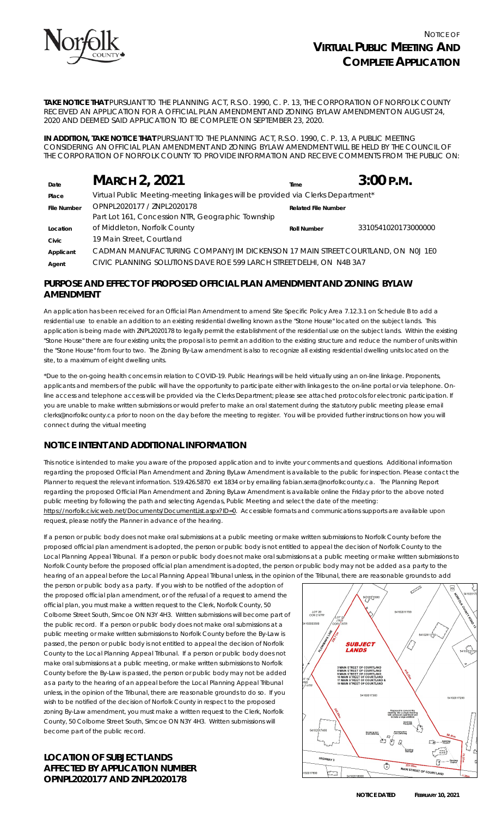

**TAKE NOTICE THAT** PURSUANT TO THE *PLANNING ACT, R.S.O. 1990, C. P. 13*, THE CORPORATION OF NORFOLK COUNTY RECEIVED AN APPLICATION FOR A OFFICIAL PLAN AMENDMENT AND ZONING BYLAW AMENDMENT ON AUGUST 24, 2020 AND DEEMED SAID APPLICATION TO BE COMPLETE ON SEPTEMBER 23, 2020.

**IN ADDITION, TAKE NOTICE THAT** PURSUANT TO THE PLANNING ACT, R.S.O. 1990, C. P. 13, A PUBLIC MEETING CONSIDERING AN OFFICIAL PLAN AMENDMENT AND ZONING BYLAW AMENDMENT WILL BE HELD BY THE COUNCIL OF THE CORPORATION OF NORFOLK COUNTY TO PROVIDE INFORMATION AND RECEIVE COMMENTS FROM THE PUBLIC ON:

| Date               | <b>MARCH 2, 2021</b>                                                            | Time                       | $3:00$ P.M.         |
|--------------------|---------------------------------------------------------------------------------|----------------------------|---------------------|
| Place              | Virtual Public Meeting-meeting linkages will be provided via Clerks Department* |                            |                     |
| <b>File Number</b> | OPNPL2020177 / ZNPL2020178                                                      | <b>Related File Number</b> |                     |
|                    | Part Lot 161, Concession NTR, Geographic Township                               |                            |                     |
| Location           | of Middleton, Norfolk County                                                    | <b>Roll Number</b>         | 3310541020173000000 |
| Civic              | 19 Main Street, Courtland                                                       |                            |                     |
| Applicant          | CADMAN MANUFACTURING COMPANYJIM DICKENSON 17 MAIN STREET COURTLAND, ON NOJ 1E0  |                            |                     |
| Agent              | CIVIC PLANNING SOLUTIONS DAVE ROE 599 LARCH STREET DELHI, ON N4B 3A7            |                            |                     |

## **PURPOSE AND EFFECT OF PROPOSED OFFICIAL PLAN AMENDMENT AND ZONING BYLAW AMENDMENT**

An application has been received for an Official Plan Amendment to amend Site Specific Policy Area 7.12.3.1 on Schedule B to add a residential use to enable an addition to an existing residential dwelling known as the "Stone House" located on the subject lands. This application is being made with ZNPL2020178 to legally permit the establishment of the residential use on the subject lands. Within the existing "Stone House" there are four existing units; the proposal is to permit an addition to the existing structure and reduce the number of units within the "Stone House" from four to two. The Zoning By-Law amendment is also to recognize all existing residential dwelling units located on the site, to a maximum of eight dwelling units.

\*Due to the on-going health concerns in relation to COVID-19. Public Hearings will be held virtually using an on-line linkage. Proponents, applicants and members of the public will have the opportunity to participate either with linkages to the on-line portal or via telephone. Online access and telephone access will be provided via the Clerks Department; please see attached protocols for electronic participation. If you are unable to make written submissions or would prefer to make an oral statement during the statutory public meeting please email [clerks@norfolkcounty.ca](mailto:clerks@norfolkcounty.ca) prior to noon on the day before the meeting to register. You will be provided further instructions on how you will connect during the virtual meeting

# **NOTICE INTENT AND ADDITIONAL INFORMATION**

This notice is intended to make you aware of the proposed application and to invite your comments and questions. Additional information regarding the proposed Official Plan Amendment and Zoning ByLaw Amendment is available to the public for inspection. Please contact the Planner to request the relevant information. 519.426.5870 ext 1834 or by emailing fabian.serra@norfolkcounty.ca. The Planning Report regarding the proposed Official Plan Amendment and Zoning ByLaw Amendment is available online the Friday prior to the above noted public meeting by following the path and selecting Agendas, Public Meeting and select the date of the meeting:

https://norfolk.civicweb.net/Documents/DocumentList.aspx?ID=0. Accessible formats and communications supports are available upon request, please notify the Planner in advance of the hearing.

If a person or public body does not make oral submissions at a public meeting or make written submissions to Norfolk County before the proposed official plan amendment is adopted, the person or public body is not entitled to appeal the decision of Norfolk County to the Local Planning Appeal Tribunal. If a person or public body does not make oral submissions at a public meeting or make written submissions to Norfolk County before the proposed official plan amendment is adopted, the person or public body may not be added as a party to the hearing of an appeal before the Local Planning Appeal Tribunal unless, in the opinion of the Tribunal, there are reasonable grounds to add

the person or public body as a party. If you wish to be notified of the adoption of the proposed official plan amendment, or of the refusal of a request to amend the official plan, you must make a written request to the Clerk, Norfolk County, 50 Colborne Street South, Simcoe ON N3Y 4H3. Written submissions will become part of the public record. If a person or public body does not make oral submissions at a public meeting or make written submissions to Norfolk County before the By-Law is passed, the person or public body is not entitled to appeal the decision of Norfolk County to the Local Planning Appeal Tribunal. If a person or public body does not make oral submissions at a public meeting, or make written submissions to Norfolk County before the By-Law is passed, the person or public body may not be added as a party to the hearing of an appeal before the Local Planning Appeal Tribunal unless, in the opinion of the Tribunal, there are reasonable grounds to do so. If you wish to be notified of the decision of Norfolk County in respect to the proposed zoning By-Law amendment, you must make a written request to the Clerk, Norfolk County, 50 Colborne Street South, Simcoe ON N3Y 4H3. Written submissions will become part of the public record.

## **LOCATION OF SUBJECT LANDS AFFECTED BY APPLICATION NUMBER OPNPL2020177 AND ZNPL2020178**